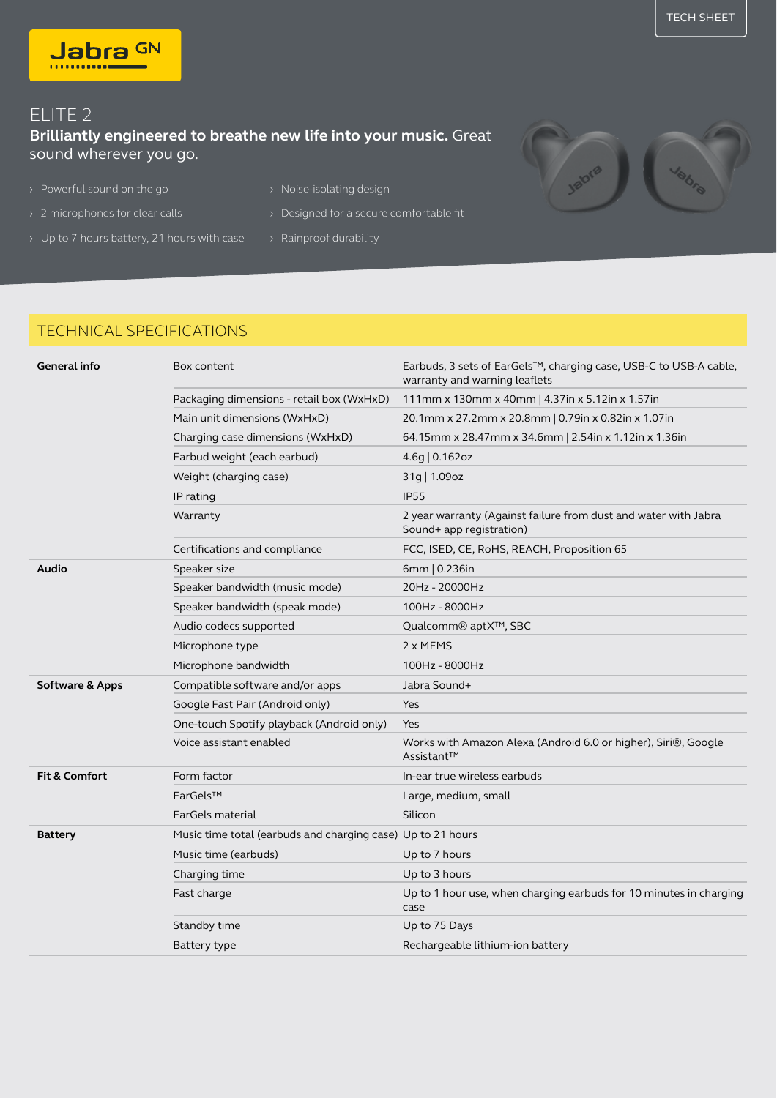## ELITE 2

## **Brilliantly engineered to breathe new life into your music.** Great sound wherever you go.

> Powerful sound on the go <br>
> Noise-isolating design

Jabra GN

- 
- > Up to 7 hours battery, 21 hours with case > Rainproof durability
- 
- › 2 microphones for clear calls › Designed for a secure comfortable fit
	-

## TECHNICAL SPECIFICATIONS

| General info               | Box content                                                 | Earbuds, 3 sets of EarGels™, charging case, USB-C to USB-A cable,<br>warranty and warning leaflets |
|----------------------------|-------------------------------------------------------------|----------------------------------------------------------------------------------------------------|
|                            | Packaging dimensions - retail box (WxHxD)                   | 111mm x 130mm x 40mm   4.37in x 5.12in x 1.57in                                                    |
|                            | Main unit dimensions (WxHxD)                                | 20.1mm x 27.2mm x 20.8mm   0.79in x 0.82in x 1.07in                                                |
|                            | Charging case dimensions (WxHxD)                            | 64.15mm x 28.47mm x 34.6mm   2.54in x 1.12in x 1.36in                                              |
|                            | Earbud weight (each earbud)                                 | 4.6g   0.162oz                                                                                     |
|                            | Weight (charging case)                                      | 31g   1.09oz                                                                                       |
|                            | IP rating                                                   | <b>IP55</b>                                                                                        |
|                            | Warranty                                                    | 2 year warranty (Against failure from dust and water with Jabra<br>Sound+ app registration)        |
|                            | Certifications and compliance                               | FCC, ISED, CE, RoHS, REACH, Proposition 65                                                         |
| Audio                      | Speaker size                                                | 6mm   0.236in                                                                                      |
|                            | Speaker bandwidth (music mode)                              | 20Hz - 20000Hz                                                                                     |
|                            | Speaker bandwidth (speak mode)                              | 100Hz - 8000Hz                                                                                     |
|                            | Audio codecs supported                                      | Qualcomm® aptX™, SBC                                                                               |
|                            | Microphone type                                             | 2 x MEMS                                                                                           |
|                            | Microphone bandwidth                                        | 100Hz - 8000Hz                                                                                     |
| <b>Software &amp; Apps</b> | Compatible software and/or apps                             | Jabra Sound+                                                                                       |
|                            | Google Fast Pair (Android only)                             | Yes                                                                                                |
|                            | One-touch Spotify playback (Android only)                   | Yes                                                                                                |
|                            | Voice assistant enabled                                     | Works with Amazon Alexa (Android 6.0 or higher), Siri®, Google<br>Assistant™                       |
| <b>Fit &amp; Comfort</b>   | Form factor                                                 | In-ear true wireless earbuds                                                                       |
|                            | EarGels™                                                    | Large, medium, small                                                                               |
|                            | EarGels material                                            | Silicon                                                                                            |
| <b>Battery</b>             | Music time total (earbuds and charging case) Up to 21 hours |                                                                                                    |
|                            | Music time (earbuds)                                        | Up to 7 hours                                                                                      |
|                            | Charging time                                               | Up to 3 hours                                                                                      |
|                            | Fast charge                                                 | Up to 1 hour use, when charging earbuds for 10 minutes in charging<br>case                         |
|                            | Standby time                                                | Up to 75 Days                                                                                      |
|                            | Battery type                                                | Rechargeable lithium-ion battery                                                                   |